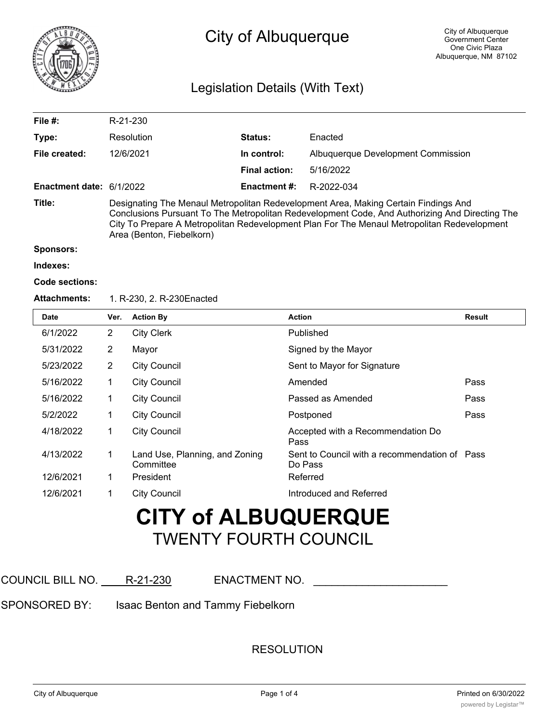

## City of Albuquerque

### Legislation Details (With Text)

| File $#$ :                                   | R-21-230                                                                                                                                                                                                                                                                                                          |                      |                                    |  |
|----------------------------------------------|-------------------------------------------------------------------------------------------------------------------------------------------------------------------------------------------------------------------------------------------------------------------------------------------------------------------|----------------------|------------------------------------|--|
| Type:                                        | Resolution                                                                                                                                                                                                                                                                                                        | <b>Status:</b>       | Enacted                            |  |
| File created:                                | 12/6/2021                                                                                                                                                                                                                                                                                                         | In control:          | Albuquerque Development Commission |  |
|                                              |                                                                                                                                                                                                                                                                                                                   | <b>Final action:</b> | 5/16/2022                          |  |
| <b>Enactment date: <math>6/1/2022</math></b> |                                                                                                                                                                                                                                                                                                                   | <b>Enactment #:</b>  | R-2022-034                         |  |
| Title:                                       | Designating The Menaul Metropolitan Redevelopment Area, Making Certain Findings And<br>Conclusions Pursuant To The Metropolitan Redevelopment Code, And Authorizing And Directing The<br>City To Prepare A Metropolitan Redevelopment Plan For The Menaul Metropolitan Redevelopment<br>Area (Benton, Fiebelkorn) |                      |                                    |  |
|                                              |                                                                                                                                                                                                                                                                                                                   |                      |                                    |  |

#### **Sponsors:**

#### **Indexes:**

#### **Code sections:**

#### **Attachments:** 1. R-230, 2. R-230Enacted

| <b>Date</b> | Ver.           | <b>Action By</b>                            | <b>Action</b>                                            | Result |
|-------------|----------------|---------------------------------------------|----------------------------------------------------------|--------|
| 6/1/2022    | $\overline{2}$ | <b>City Clerk</b>                           | Published                                                |        |
| 5/31/2022   | 2              | Mayor                                       | Signed by the Mayor                                      |        |
| 5/23/2022   | 2              | <b>City Council</b>                         | Sent to Mayor for Signature                              |        |
| 5/16/2022   | 1              | <b>City Council</b>                         | Amended                                                  | Pass   |
| 5/16/2022   | 1              | <b>City Council</b>                         | Passed as Amended                                        | Pass   |
| 5/2/2022    |                | <b>City Council</b>                         | Postponed                                                | Pass   |
| 4/18/2022   | 1              | <b>City Council</b>                         | Accepted with a Recommendation Do<br>Pass                |        |
| 4/13/2022   | 1              | Land Use, Planning, and Zoning<br>Committee | Sent to Council with a recommendation of Pass<br>Do Pass |        |
| 12/6/2021   | 1              | President                                   | Referred                                                 |        |
| 12/6/2021   |                | <b>City Council</b>                         | Introduced and Referred                                  |        |

# **CITY of ALBUQUERQUE** TWENTY FOURTH COUNCIL

COUNCIL BILL NO. \_\_\_\_\_\_R-21-230 ENACTMENT NO.

SPONSORED BY: Isaac Benton and Tammy Fiebelkorn

RESOLUTION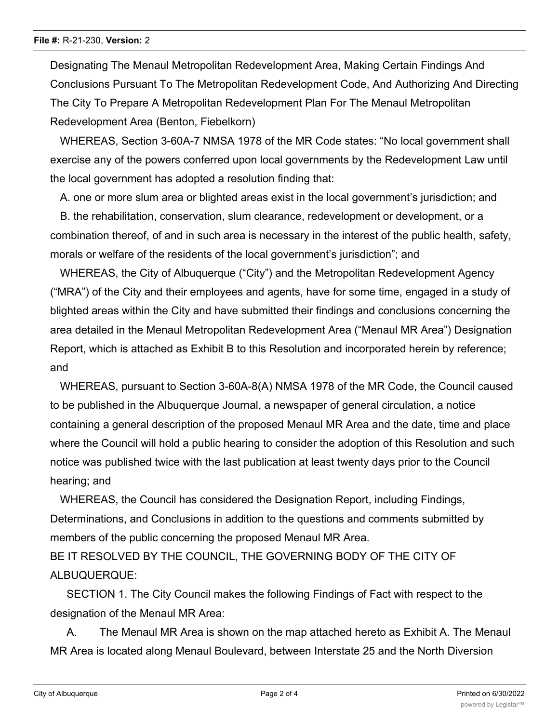Designating The Menaul Metropolitan Redevelopment Area, Making Certain Findings And Conclusions Pursuant To The Metropolitan Redevelopment Code, And Authorizing And Directing The City To Prepare A Metropolitan Redevelopment Plan For The Menaul Metropolitan Redevelopment Area (Benton, Fiebelkorn)

WHEREAS, Section 3-60A-7 NMSA 1978 of the MR Code states: "No local government shall exercise any of the powers conferred upon local governments by the Redevelopment Law until the local government has adopted a resolution finding that:

A. one or more slum area or blighted areas exist in the local government's jurisdiction; and

B. the rehabilitation, conservation, slum clearance, redevelopment or development, or a combination thereof, of and in such area is necessary in the interest of the public health, safety, morals or welfare of the residents of the local government's jurisdiction"; and

WHEREAS, the City of Albuquerque ("City") and the Metropolitan Redevelopment Agency ("MRA") of the City and their employees and agents, have for some time, engaged in a study of blighted areas within the City and have submitted their findings and conclusions concerning the area detailed in the Menaul Metropolitan Redevelopment Area ("Menaul MR Area") Designation Report, which is attached as Exhibit B to this Resolution and incorporated herein by reference; and

WHEREAS, pursuant to Section 3-60A-8(A) NMSA 1978 of the MR Code, the Council caused to be published in the Albuquerque Journal, a newspaper of general circulation, a notice containing a general description of the proposed Menaul MR Area and the date, time and place where the Council will hold a public hearing to consider the adoption of this Resolution and such notice was published twice with the last publication at least twenty days prior to the Council hearing; and

WHEREAS, the Council has considered the Designation Report, including Findings, Determinations, and Conclusions in addition to the questions and comments submitted by members of the public concerning the proposed Menaul MR Area. BE IT RESOLVED BY THE COUNCIL, THE GOVERNING BODY OF THE CITY OF

ALBUQUERQUE:

SECTION 1. The City Council makes the following Findings of Fact with respect to the designation of the Menaul MR Area:

A. The Menaul MR Area is shown on the map attached hereto as Exhibit A. The Menaul MR Area is located along Menaul Boulevard, between Interstate 25 and the North Diversion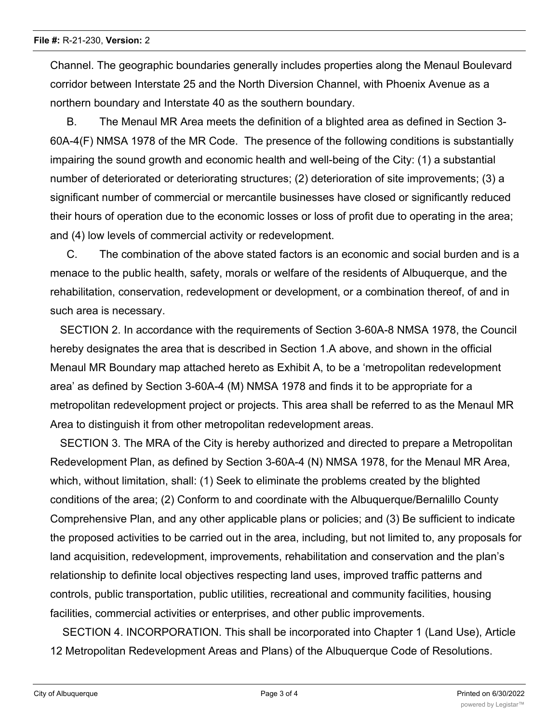Channel. The geographic boundaries generally includes properties along the Menaul Boulevard corridor between Interstate 25 and the North Diversion Channel, with Phoenix Avenue as a northern boundary and Interstate 40 as the southern boundary.

B. The Menaul MR Area meets the definition of a blighted area as defined in Section 3- 60A-4(F) NMSA 1978 of the MR Code. The presence of the following conditions is substantially impairing the sound growth and economic health and well-being of the City: (1) a substantial number of deteriorated or deteriorating structures; (2) deterioration of site improvements; (3) a significant number of commercial or mercantile businesses have closed or significantly reduced their hours of operation due to the economic losses or loss of profit due to operating in the area; and (4) low levels of commercial activity or redevelopment.

C. The combination of the above stated factors is an economic and social burden and is a menace to the public health, safety, morals or welfare of the residents of Albuquerque, and the rehabilitation, conservation, redevelopment or development, or a combination thereof, of and in such area is necessary.

SECTION 2. In accordance with the requirements of Section 3-60A-8 NMSA 1978, the Council hereby designates the area that is described in Section 1.A above, and shown in the official Menaul MR Boundary map attached hereto as Exhibit A, to be a 'metropolitan redevelopment area' as defined by Section 3-60A-4 (M) NMSA 1978 and finds it to be appropriate for a metropolitan redevelopment project or projects. This area shall be referred to as the Menaul MR Area to distinguish it from other metropolitan redevelopment areas.

SECTION 3. The MRA of the City is hereby authorized and directed to prepare a Metropolitan Redevelopment Plan, as defined by Section 3-60A-4 (N) NMSA 1978, for the Menaul MR Area, which, without limitation, shall: (1) Seek to eliminate the problems created by the blighted conditions of the area; (2) Conform to and coordinate with the Albuquerque/Bernalillo County Comprehensive Plan, and any other applicable plans or policies; and (3) Be sufficient to indicate the proposed activities to be carried out in the area, including, but not limited to, any proposals for land acquisition, redevelopment, improvements, rehabilitation and conservation and the plan's relationship to definite local objectives respecting land uses, improved traffic patterns and controls, public transportation, public utilities, recreational and community facilities, housing facilities, commercial activities or enterprises, and other public improvements.

SECTION 4. INCORPORATION. This shall be incorporated into Chapter 1 (Land Use), Article 12 Metropolitan Redevelopment Areas and Plans) of the Albuquerque Code of Resolutions.